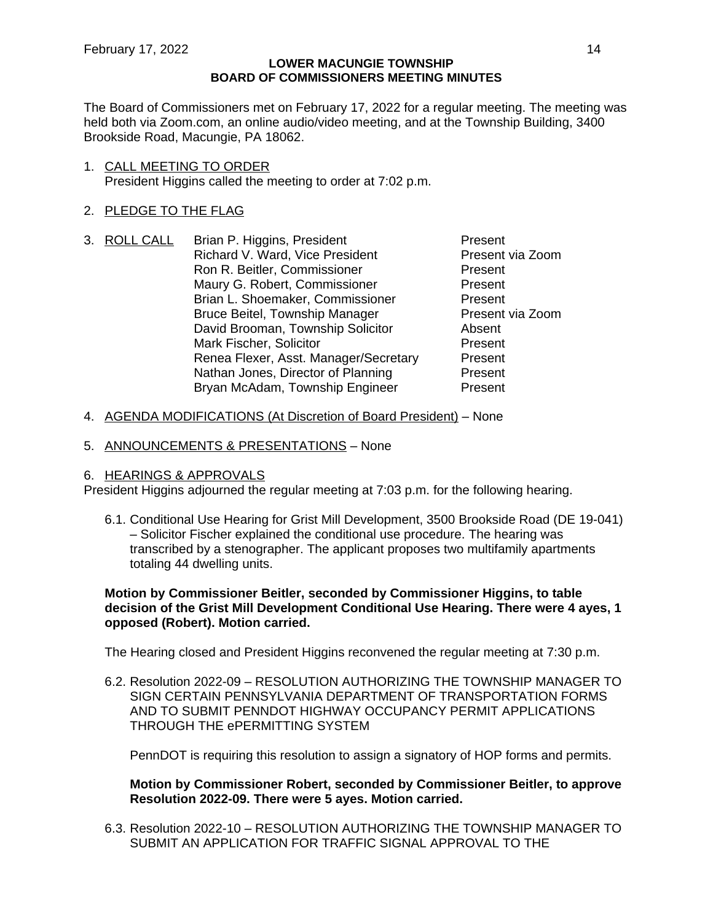The Board of Commissioners met on February 17, 2022 for a regular meeting. The meeting was held both via Zoom.com, an online audio/video meeting, and at the Township Building, 3400 Brookside Road, Macungie, PA 18062.

1. CALL MEETING TO ORDER President Higgins called the meeting to order at 7:02 p.m.

# 2. PLEDGE TO THE FLAG

- 3. ROLL CALL Brian P. Higgins, President Present Richard V. Ward, Vice President Present via Zoom Ron R. Beitler, Commissioner **Present** Maury G. Robert, Commissioner **Present** Brian L. Shoemaker, Commissioner Present Bruce Beitel, Township Manager Present via Zoom<br>David Brooman, Township Solicitor Absent David Brooman, Township Solicitor Mark Fischer, Solicitor **Present** Renea Flexer, Asst. Manager/Secretary Present Nathan Jones, Director of Planning Present Bryan McAdam, Township Engineer Present
- 4. AGENDA MODIFICATIONS (At Discretion of Board President) None
- 5. ANNOUNCEMENTS & PRESENTATIONS None

# 6. HEARINGS & APPROVALS

President Higgins adjourned the regular meeting at 7:03 p.m. for the following hearing.

6.1. Conditional Use Hearing for Grist Mill Development, 3500 Brookside Road (DE 19-041) – Solicitor Fischer explained the conditional use procedure. The hearing was transcribed by a stenographer. The applicant proposes two multifamily apartments totaling 44 dwelling units.

**Motion by Commissioner Beitler, seconded by Commissioner Higgins, to table decision of the Grist Mill Development Conditional Use Hearing. There were 4 ayes, 1 opposed (Robert). Motion carried.**

The Hearing closed and President Higgins reconvened the regular meeting at 7:30 p.m.

6.2. Resolution 2022-09 – RESOLUTION AUTHORIZING THE TOWNSHIP MANAGER TO SIGN CERTAIN PENNSYLVANIA DEPARTMENT OF TRANSPORTATION FORMS AND TO SUBMIT PENNDOT HIGHWAY OCCUPANCY PERMIT APPLICATIONS THROUGH THE ePERMITTING SYSTEM

PennDOT is requiring this resolution to assign a signatory of HOP forms and permits.

**Motion by Commissioner Robert, seconded by Commissioner Beitler, to approve Resolution 2022-09. There were 5 ayes. Motion carried.**

6.3. Resolution 2022-10 – RESOLUTION AUTHORIZING THE TOWNSHIP MANAGER TO SUBMIT AN APPLICATION FOR TRAFFIC SIGNAL APPROVAL TO THE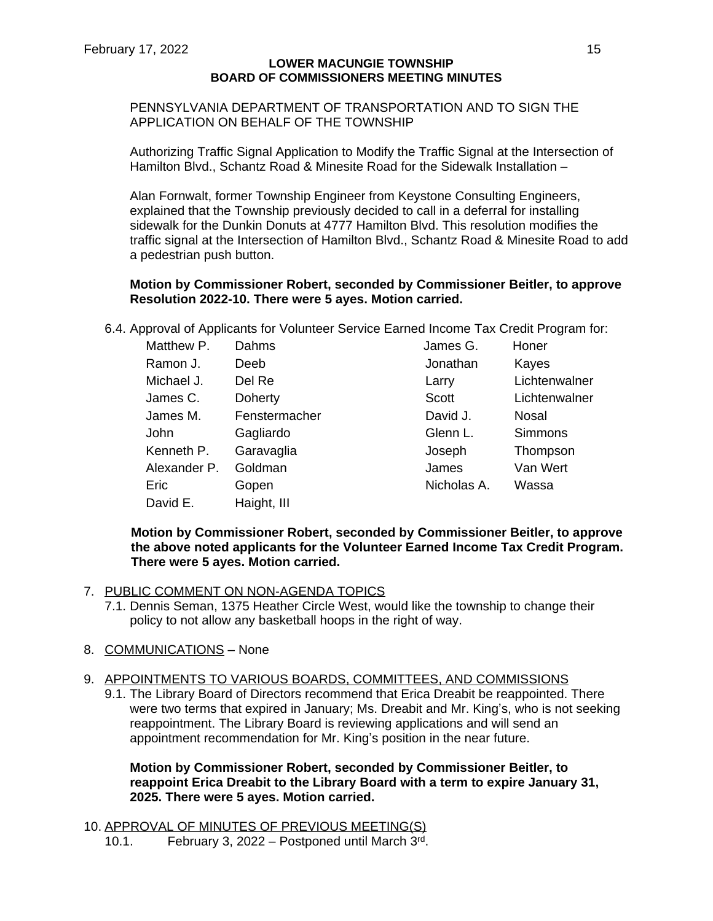# PENNSYLVANIA DEPARTMENT OF TRANSPORTATION AND TO SIGN THE APPLICATION ON BEHALF OF THE TOWNSHIP

Authorizing Traffic Signal Application to Modify the Traffic Signal at the Intersection of Hamilton Blvd., Schantz Road & Minesite Road for the Sidewalk Installation –

Alan Fornwalt, former Township Engineer from Keystone Consulting Engineers, explained that the Township previously decided to call in a deferral for installing sidewalk for the Dunkin Donuts at 4777 Hamilton Blvd. This resolution modifies the traffic signal at the Intersection of Hamilton Blvd., Schantz Road & Minesite Road to add a pedestrian push button.

#### **Motion by Commissioner Robert, seconded by Commissioner Beitler, to approve Resolution 2022-10. There were 5 ayes. Motion carried.**

6.4. Approval of Applicants for Volunteer Service Earned Income Tax Credit Program for:

| Matthew P.   | Dahms         | James G.    | Honer          |
|--------------|---------------|-------------|----------------|
| Ramon J.     | Deeb          | Jonathan    | Kayes          |
| Michael J.   | Del Re        | Larry       | Lichtenwalner  |
| James C.     | Doherty       | Scott       | Lichtenwalner  |
| James M.     | Fenstermacher | David J.    | <b>Nosal</b>   |
| John         | Gagliardo     | Glenn L.    | <b>Simmons</b> |
| Kenneth P.   | Garavaglia    | Joseph      | Thompson       |
| Alexander P. | Goldman       | James       | Van Wert       |
| Eric         | Gopen         | Nicholas A. | Wassa          |
| David E.     | Haight, III   |             |                |

**Motion by Commissioner Robert, seconded by Commissioner Beitler, to approve the above noted applicants for the Volunteer Earned Income Tax Credit Program. There were 5 ayes. Motion carried.**

#### 7. PUBLIC COMMENT ON NON-AGENDA TOPICS

- 7.1. Dennis Seman, 1375 Heather Circle West, would like the township to change their policy to not allow any basketball hoops in the right of way.
- 8. COMMUNICATIONS None

#### 9. APPOINTMENTS TO VARIOUS BOARDS, COMMITTEES, AND COMMISSIONS

9.1. The Library Board of Directors recommend that Erica Dreabit be reappointed. There were two terms that expired in January; Ms. Dreabit and Mr. King's, who is not seeking reappointment. The Library Board is reviewing applications and will send an appointment recommendation for Mr. King's position in the near future.

### **Motion by Commissioner Robert, seconded by Commissioner Beitler, to reappoint Erica Dreabit to the Library Board with a term to expire January 31, 2025. There were 5 ayes. Motion carried.**

10. APPROVAL OF MINUTES OF PREVIOUS MEETING(S) 10.1. February 3, 2022 – Postponed until March 3rd .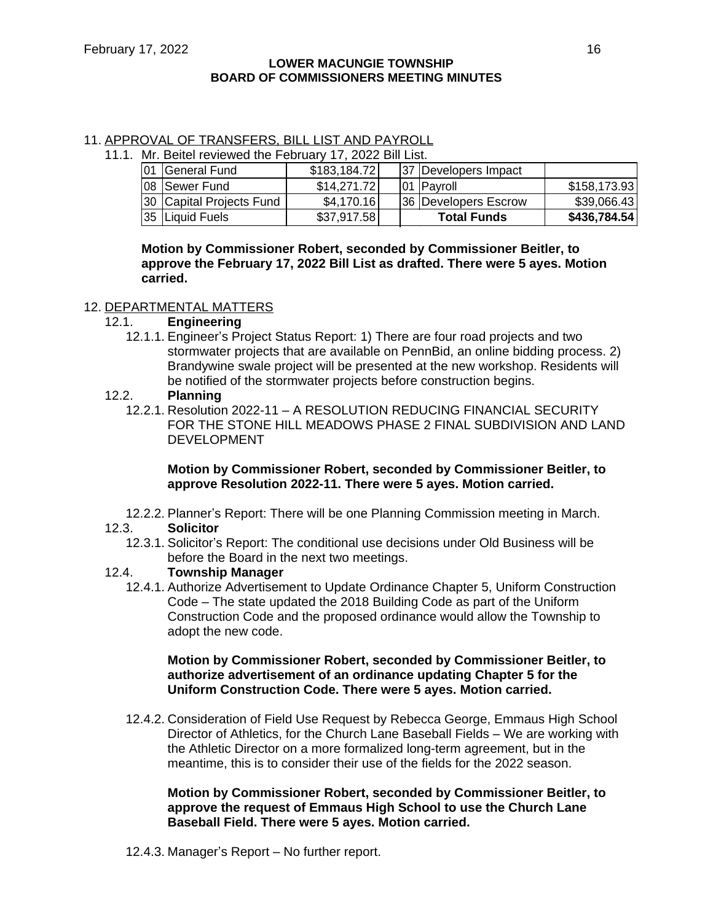#### 11. APPROVAL OF TRANSFERS, BILL LIST AND PAYROLL 11.1. Mr. Beitel reviewed the February 17, 2022 Bill List.

| <b>MILE DETET LEATEMED THE FEDITION TV, ZUZZ DIILLIST.</b> |              |  |  |                      |              |  |  |
|------------------------------------------------------------|--------------|--|--|----------------------|--------------|--|--|
| 01 General Fund                                            | \$183,184.72 |  |  | 37 Developers Impact |              |  |  |
| 08 Sewer Fund                                              | \$14.271.72  |  |  | 101 IPavroll         | \$158,173.93 |  |  |
| 30 Capital Projects Fund                                   | \$4,170.16]  |  |  | 36 Developers Escrow | \$39,066.43  |  |  |
| 35 Liquid Fuels                                            | \$37,917.58  |  |  | <b>Total Funds</b>   | \$436,784.54 |  |  |

**Motion by Commissioner Robert, seconded by Commissioner Beitler, to approve the February 17, 2022 Bill List as drafted. There were 5 ayes. Motion carried.**

# 12. DEPARTMENTAL MATTERS

- 12.1. **Engineering**
	- 12.1.1. Engineer's Project Status Report: 1) There are four road projects and two stormwater projects that are available on PennBid, an online bidding process. 2) Brandywine swale project will be presented at the new workshop. Residents will be notified of the stormwater projects before construction begins.

# 12.2. **Planning**

12.2.1. Resolution 2022-11 – A RESOLUTION REDUCING FINANCIAL SECURITY FOR THE STONE HILL MEADOWS PHASE 2 FINAL SUBDIVISION AND LAND DEVELOPMENT

# **Motion by Commissioner Robert, seconded by Commissioner Beitler, to approve Resolution 2022-11. There were 5 ayes. Motion carried.**

12.2.2. Planner's Report: There will be one Planning Commission meeting in March.

# 12.3. **Solicitor**

12.3.1. Solicitor's Report: The conditional use decisions under Old Business will be before the Board in the next two meetings.

# 12.4. **Township Manager**

12.4.1. Authorize Advertisement to Update Ordinance Chapter 5, Uniform Construction Code – The state updated the 2018 Building Code as part of the Uniform Construction Code and the proposed ordinance would allow the Township to adopt the new code.

# **Motion by Commissioner Robert, seconded by Commissioner Beitler, to authorize advertisement of an ordinance updating Chapter 5 for the Uniform Construction Code. There were 5 ayes. Motion carried.**

12.4.2. Consideration of Field Use Request by Rebecca George, Emmaus High School Director of Athletics, for the Church Lane Baseball Fields – We are working with the Athletic Director on a more formalized long-term agreement, but in the meantime, this is to consider their use of the fields for the 2022 season.

**Motion by Commissioner Robert, seconded by Commissioner Beitler, to approve the request of Emmaus High School to use the Church Lane Baseball Field. There were 5 ayes. Motion carried.**

12.4.3. Manager's Report – No further report.